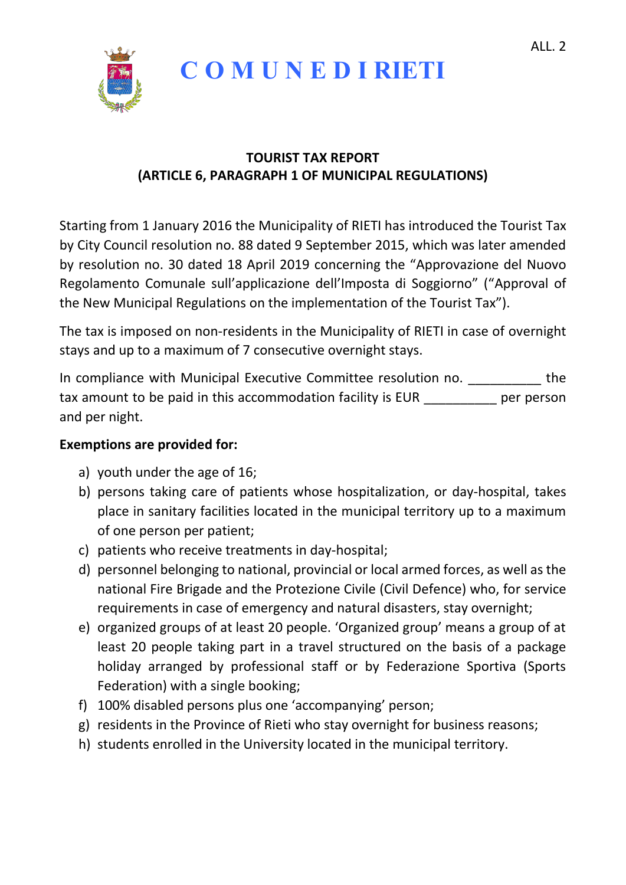

## **C O M U N E D I RIETI**

## **TOURIST TAX REPORT (ARTICLE 6, PARAGRAPH 1 OF MUNICIPAL REGULATIONS)**

Starting from 1 January 2016 the Municipality of RIETI has introduced the Tourist Tax by City Council resolution no. 88 dated 9 September 2015, which was later amended by resolution no. 30 dated 18 April 2019 concerning the "Approvazione del Nuovo Regolamento Comunale sull'applicazione dell'Imposta di Soggiorno" ("Approval of the New Municipal Regulations on the implementation of the Tourist Tax").

The tax is imposed on non-residents in the Municipality of RIETI in case of overnight stays and up to a maximum of 7 consecutive overnight stays.

In compliance with Municipal Executive Committee resolution no. The tax amount to be paid in this accommodation facility is EUR per person and per night.

## **Exemptions are provided for:**

- a) youth under the age of 16;
- b) persons taking care of patients whose hospitalization, or day-hospital, takes place in sanitary facilities located in the municipal territory up to a maximum of one person per patient;
- c) patients who receive treatments in day-hospital;
- d) personnel belonging to national, provincial or local armed forces, as well as the national Fire Brigade and the Protezione Civile (Civil Defence) who, for service requirements in case of emergency and natural disasters, stay overnight;
- e) organized groups of at least 20 people. 'Organized group' means a group of at least 20 people taking part in a travel structured on the basis of a package holiday arranged by professional staff or by Federazione Sportiva (Sports Federation) with a single booking;
- f) 100% disabled persons plus one 'accompanying' person;
- g) residents in the Province of Rieti who stay overnight for business reasons;
- h) students enrolled in the University located in the municipal territory.